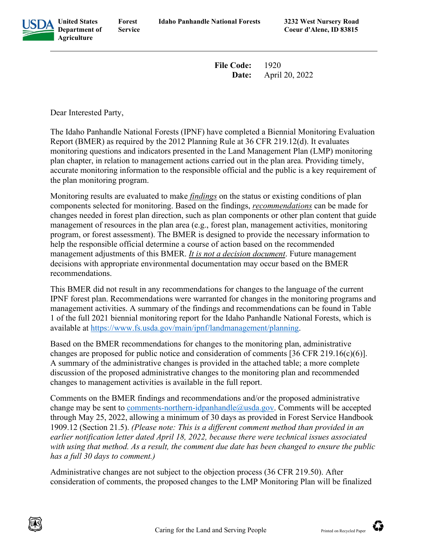

**Department of Forest Service**

**File Code:** 1920 **Date:** April 20, 2022

Dear Interested Party,

The Idaho Panhandle National Forests (IPNF) have completed a Biennial Monitoring Evaluation Report (BMER) as required by the 2012 Planning Rule at 36 CFR 219.12(d). It evaluates monitoring questions and indicators presented in the Land Management Plan (LMP) monitoring plan chapter, in relation to management actions carried out in the plan area. Providing timely, accurate monitoring information to the responsible official and the public is a key requirement of the plan monitoring program.

Monitoring results are evaluated to make *findings* on the status or existing conditions of plan components selected for monitoring. Based on the findings, *recommendations* can be made for changes needed in forest plan direction, such as plan components or other plan content that guide management of resources in the plan area (e.g., forest plan, management activities, monitoring program, or forest assessment). The BMER is designed to provide the necessary information to help the responsible official determine a course of action based on the recommended management adjustments of this BMER. *It is not a decision document*. Future management decisions with appropriate environmental documentation may occur based on the BMER recommendations.

This BMER did not result in any recommendations for changes to the language of the current IPNF forest plan. Recommendations were warranted for changes in the monitoring programs and management activities. A summary of the findings and recommendations can be found in Table 1 of the full 2021 biennial monitoring report for the Idaho Panhandle National Forests, which is available at [https://www.fs.usda.gov/main/ipnf/landmanagement/planning.](https://www.fs.usda.gov/main/ipnf/landmanagement/planning)

Based on the BMER recommendations for changes to the monitoring plan, administrative changes are proposed for public notice and consideration of comments [36 CFR 219.16(c)(6)]. A summary of the administrative changes is provided in the attached table; a more complete discussion of the proposed administrative changes to the monitoring plan and recommended changes to management activities is available in the full report.

Comments on the BMER findings and recommendations and/or the proposed administrative change may be sent to [comments-northern-idpanhandle@usda.gov.](mailto:comments-northern-idpanhandle@usda.gov) Comments will be accepted through May 25, 2022, allowing a minimum of 30 days as provided in Forest Service Handbook 1909.12 (Section 21.5). *(Please note: This is a different comment method than provided in an earlier notification letter dated April 18, 2022, because there were technical issues associated with using that method. As a result, the comment due date has been changed to ensure the public has a full 30 days to comment.)* 

Administrative changes are not subject to the objection process (36 CFR 219.50). After consideration of comments, the proposed changes to the LMP Monitoring Plan will be finalized